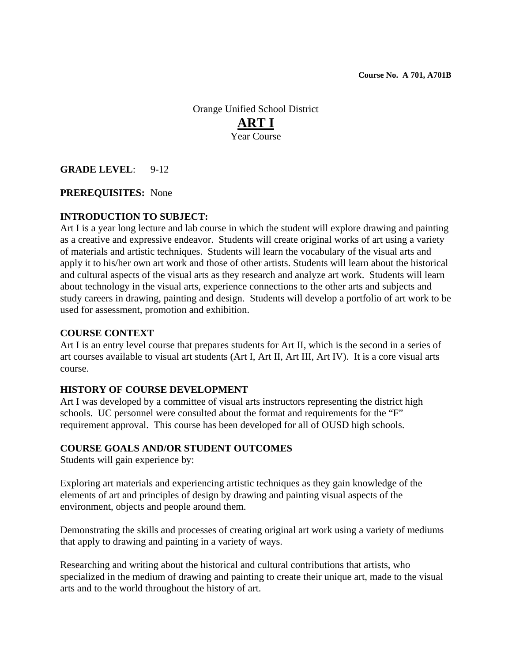Orange Unified School District **ART I** Year Course

**GRADE LEVEL**: 9-12

# **PREREQUISITES:** None

# **INTRODUCTION TO SUBJECT:**

Art I is a year long lecture and lab course in which the student will explore drawing and painting as a creative and expressive endeavor. Students will create original works of art using a variety of materials and artistic techniques. Students will learn the vocabulary of the visual arts and apply it to his/her own art work and those of other artists. Students will learn about the historical and cultural aspects of the visual arts as they research and analyze art work. Students will learn about technology in the visual arts, experience connections to the other arts and subjects and study careers in drawing, painting and design. Students will develop a portfolio of art work to be used for assessment, promotion and exhibition.

### **COURSE CONTEXT**

Art I is an entry level course that prepares students for Art II, which is the second in a series of art courses available to visual art students (Art I, Art II, Art III, Art IV). It is a core visual arts course.

### **HISTORY OF COURSE DEVELOPMENT**

Art I was developed by a committee of visual arts instructors representing the district high schools. UC personnel were consulted about the format and requirements for the "F" requirement approval. This course has been developed for all of OUSD high schools.

### **COURSE GOALS AND/OR STUDENT OUTCOMES**

Students will gain experience by:

Exploring art materials and experiencing artistic techniques as they gain knowledge of the elements of art and principles of design by drawing and painting visual aspects of the environment, objects and people around them.

Demonstrating the skills and processes of creating original art work using a variety of mediums that apply to drawing and painting in a variety of ways.

Researching and writing about the historical and cultural contributions that artists, who specialized in the medium of drawing and painting to create their unique art, made to the visual arts and to the world throughout the history of art.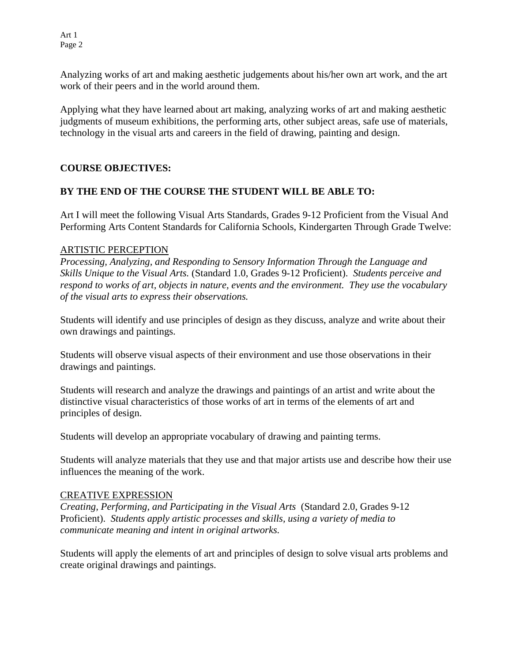Art 1 Page 2

Analyzing works of art and making aesthetic judgements about his/her own art work, and the art work of their peers and in the world around them.

Applying what they have learned about art making, analyzing works of art and making aesthetic judgments of museum exhibitions, the performing arts, other subject areas, safe use of materials, technology in the visual arts and careers in the field of drawing, painting and design.

# **COURSE OBJECTIVES:**

# **BY THE END OF THE COURSE THE STUDENT WILL BE ABLE TO:**

Art I will meet the following Visual Arts Standards, Grades 9-12 Proficient from the Visual And Performing Arts Content Standards for California Schools, Kindergarten Through Grade Twelve:

# ARTISTIC PERCEPTION

*Processing, Analyzing, and Responding to Sensory Information Through the Language and Skills Unique to the Visual Arts.* (Standard 1.0, Grades 9-12 Proficient). *Students perceive and respond to works of art, objects in nature, events and the environment. They use the vocabulary of the visual arts to express their observations.* 

Students will identify and use principles of design as they discuss, analyze and write about their own drawings and paintings.

Students will observe visual aspects of their environment and use those observations in their drawings and paintings.

Students will research and analyze the drawings and paintings of an artist and write about the distinctive visual characteristics of those works of art in terms of the elements of art and principles of design.

Students will develop an appropriate vocabulary of drawing and painting terms.

Students will analyze materials that they use and that major artists use and describe how their use influences the meaning of the work.

### CREATIVE EXPRESSION

*Creating, Performing, and Participating in the Visual Arts* (Standard 2.0, Grades 9-12 Proficient). *Students apply artistic processes and skills, using a variety of media to communicate meaning and intent in original artworks.* 

Students will apply the elements of art and principles of design to solve visual arts problems and create original drawings and paintings.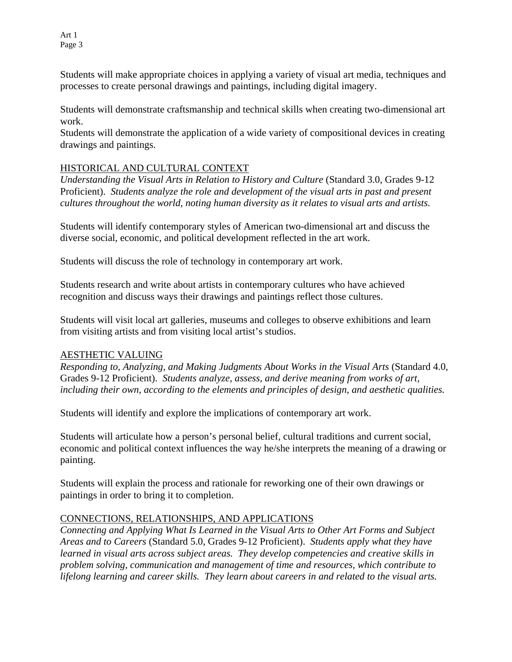Students will make appropriate choices in applying a variety of visual art media, techniques and processes to create personal drawings and paintings, including digital imagery.

Students will demonstrate craftsmanship and technical skills when creating two-dimensional art work.

Students will demonstrate the application of a wide variety of compositional devices in creating drawings and paintings.

# HISTORICAL AND CULTURAL CONTEXT

*Understanding the Visual Arts in Relation to History and Culture* (Standard 3.0, Grades 9-12 Proficient). *Students analyze the role and development of the visual arts in past and present cultures throughout the world, noting human diversity as it relates to visual arts and artists.* 

Students will identify contemporary styles of American two-dimensional art and discuss the diverse social, economic, and political development reflected in the art work.

Students will discuss the role of technology in contemporary art work.

Students research and write about artists in contemporary cultures who have achieved recognition and discuss ways their drawings and paintings reflect those cultures.

Students will visit local art galleries, museums and colleges to observe exhibitions and learn from visiting artists and from visiting local artist's studios.

# AESTHETIC VALUING

*Responding to, Analyzing, and Making Judgments About Works in the Visual Arts* (Standard 4.0, Grades 9-12 Proficient). *Students analyze, assess, and derive meaning from works of art, including their own, according to the elements and principles of design, and aesthetic qualities.* 

Students will identify and explore the implications of contemporary art work.

Students will articulate how a person's personal belief, cultural traditions and current social, economic and political context influences the way he/she interprets the meaning of a drawing or painting.

Students will explain the process and rationale for reworking one of their own drawings or paintings in order to bring it to completion.

# CONNECTIONS, RELATIONSHIPS, AND APPLICATIONS

*Connecting and Applying What Is Learned in the Visual Arts to Other Art Forms and Subject Areas and to Careers* (Standard 5.0, Grades 9-12 Proficient). *Students apply what they have learned in visual arts across subject areas. They develop competencies and creative skills in problem solving, communication and management of time and resources, which contribute to lifelong learning and career skills. They learn about careers in and related to the visual arts.*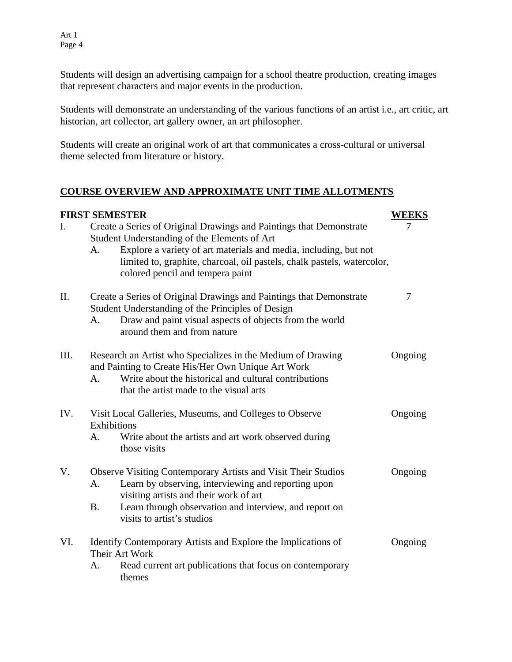Art 1 Page 4

Students will design an advertising campaign for a school theatre production, creating images that represent characters and major events in the production.

Students will demonstrate an understanding of the various functions of an artist i.e., art critic, art historian, art collector, art gallery owner, an art philosopher.

Students will create an original work of art that communicates a cross-cultural or universal theme selected from literature or history.

# **COURSE OVERVIEW AND APPROXIMATE UNIT TIME ALLOTMENTS**

| <b>FIRST SEMESTER</b><br><b>WEEKS</b> |                                                                                                                     |                                                                                                                                                                                                                       |         |
|---------------------------------------|---------------------------------------------------------------------------------------------------------------------|-----------------------------------------------------------------------------------------------------------------------------------------------------------------------------------------------------------------------|---------|
| I.                                    | Create a Series of Original Drawings and Paintings that Demonstrate<br>Student Understanding of the Elements of Art |                                                                                                                                                                                                                       |         |
|                                       | A.                                                                                                                  | Explore a variety of art materials and media, including, but not<br>limited to, graphite, charcoal, oil pastels, chalk pastels, watercolor,<br>colored pencil and tempera paint                                       |         |
| II.                                   | A.                                                                                                                  | Create a Series of Original Drawings and Paintings that Demonstrate<br>Student Understanding of the Principles of Design<br>Draw and paint visual aspects of objects from the world<br>around them and from nature    | 7       |
| III.                                  | $A_{\cdot}$                                                                                                         | Research an Artist who Specializes in the Medium of Drawing<br>and Painting to Create His/Her Own Unique Art Work<br>Write about the historical and cultural contributions<br>that the artist made to the visual arts | Ongoing |
| IV.                                   | Visit Local Galleries, Museums, and Colleges to Observe<br>Exhibitions                                              |                                                                                                                                                                                                                       |         |
|                                       | A.                                                                                                                  | Write about the artists and art work observed during<br>those visits                                                                                                                                                  |         |
| V.                                    | <b>Observe Visiting Contemporary Artists and Visit Their Studios</b>                                                |                                                                                                                                                                                                                       | Ongoing |
|                                       | A.                                                                                                                  | Learn by observing, interviewing and reporting upon<br>visiting artists and their work of art                                                                                                                         |         |
|                                       | <b>B.</b>                                                                                                           | Learn through observation and interview, and report on<br>visits to artist's studios                                                                                                                                  |         |
| VI.                                   | Identify Contemporary Artists and Explore the Implications of<br>Their Art Work                                     |                                                                                                                                                                                                                       |         |
|                                       | А.                                                                                                                  | Read current art publications that focus on contemporary<br>themes                                                                                                                                                    |         |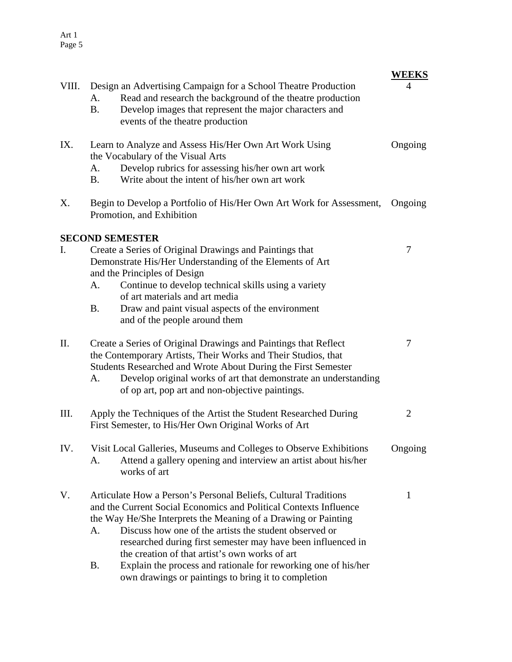| VIII. | Design an Advertising Campaign for a School Theatre Production<br>Read and research the background of the theatre production<br>А.<br>Develop images that represent the major characters and<br><b>B.</b><br>events of the theatre production                                                                                                                                                                                                                                                                                  | <b>WEEKS</b><br>4 |  |
|-------|--------------------------------------------------------------------------------------------------------------------------------------------------------------------------------------------------------------------------------------------------------------------------------------------------------------------------------------------------------------------------------------------------------------------------------------------------------------------------------------------------------------------------------|-------------------|--|
| IX.   | Learn to Analyze and Assess His/Her Own Art Work Using<br>the Vocabulary of the Visual Arts<br>Develop rubrics for assessing his/her own art work<br>A.<br>Write about the intent of his/her own art work<br><b>B.</b>                                                                                                                                                                                                                                                                                                         | Ongoing           |  |
| Х.    | Begin to Develop a Portfolio of His/Her Own Art Work for Assessment,<br>Promotion, and Exhibition                                                                                                                                                                                                                                                                                                                                                                                                                              | Ongoing           |  |
|       | <b>SECOND SEMESTER</b>                                                                                                                                                                                                                                                                                                                                                                                                                                                                                                         |                   |  |
| I.    | Create a Series of Original Drawings and Paintings that<br>Demonstrate His/Her Understanding of the Elements of Art<br>and the Principles of Design<br>Continue to develop technical skills using a variety<br>A.<br>of art materials and art media<br><b>B.</b><br>Draw and paint visual aspects of the environment<br>and of the people around them                                                                                                                                                                          | 7                 |  |
| П.    | Create a Series of Original Drawings and Paintings that Reflect<br>the Contemporary Artists, Their Works and Their Studios, that<br>Students Researched and Wrote About During the First Semester<br>Develop original works of art that demonstrate an understanding<br>A.<br>of op art, pop art and non-objective paintings.                                                                                                                                                                                                  | 7                 |  |
| Ш.    | Apply the Techniques of the Artist the Student Researched During<br>2<br>First Semester, to His/Her Own Original Works of Art                                                                                                                                                                                                                                                                                                                                                                                                  |                   |  |
| IV.   | Visit Local Galleries, Museums and Colleges to Observe Exhibitions<br>Attend a gallery opening and interview an artist about his/her<br>А.<br>works of art                                                                                                                                                                                                                                                                                                                                                                     | Ongoing           |  |
| V.    | Articulate How a Person's Personal Beliefs, Cultural Traditions<br>and the Current Social Economics and Political Contexts Influence<br>the Way He/She Interprets the Meaning of a Drawing or Painting<br>Discuss how one of the artists the student observed or<br>A.<br>researched during first semester may have been influenced in<br>the creation of that artist's own works of art<br>Explain the process and rationale for reworking one of his/her<br><b>B.</b><br>own drawings or paintings to bring it to completion | 1                 |  |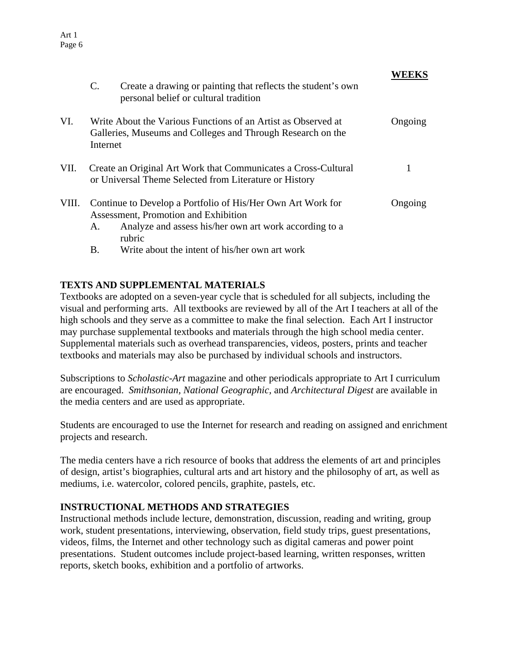|             | $\mathbf{C}$ .                                                                                                                                      | Create a drawing or painting that reflects the student's own<br>personal belief or cultural tradition                                                                   |         |
|-------------|-----------------------------------------------------------------------------------------------------------------------------------------------------|-------------------------------------------------------------------------------------------------------------------------------------------------------------------------|---------|
| VI.         | Write About the Various Functions of an Artist as Observed at<br>Ongoing<br>Galleries, Museums and Colleges and Through Research on the<br>Internet |                                                                                                                                                                         |         |
| VII.        | Create an Original Art Work that Communicates a Cross-Cultural<br>or Universal Theme Selected from Literature or History                            |                                                                                                                                                                         |         |
| VIII.<br>А. |                                                                                                                                                     | Continue to Develop a Portfolio of His/Her Own Art Work for<br>Assessment, Promotion and Exhibition<br>Analyze and assess his/her own art work according to a<br>rubric | Ongoing |
|             | В.                                                                                                                                                  | Write about the intent of his/her own art work                                                                                                                          |         |

#### **TEXTS AND SUPPLEMENTAL MATERIALS**

Art 1 Page 6

Textbooks are adopted on a seven-year cycle that is scheduled for all subjects, including the visual and performing arts. All textbooks are reviewed by all of the Art I teachers at all of the high schools and they serve as a committee to make the final selection. Each Art I instructor may purchase supplemental textbooks and materials through the high school media center. Supplemental materials such as overhead transparencies, videos, posters, prints and teacher textbooks and materials may also be purchased by individual schools and instructors.

Subscriptions to *Scholastic-Art* magazine and other periodicals appropriate to Art I curriculum are encouraged. *Smithsonian, National Geographic,* and *Architectural Digest* are available in the media centers and are used as appropriate.

Students are encouraged to use the Internet for research and reading on assigned and enrichment projects and research.

The media centers have a rich resource of books that address the elements of art and principles of design, artist's biographies, cultural arts and art history and the philosophy of art, as well as mediums, i.e. watercolor, colored pencils, graphite, pastels, etc.

#### **INSTRUCTIONAL METHODS AND STRATEGIES**

Instructional methods include lecture, demonstration, discussion, reading and writing, group work, student presentations, interviewing, observation, field study trips, guest presentations, videos, films, the Internet and other technology such as digital cameras and power point presentations. Student outcomes include project-based learning, written responses, written reports, sketch books, exhibition and a portfolio of artworks.